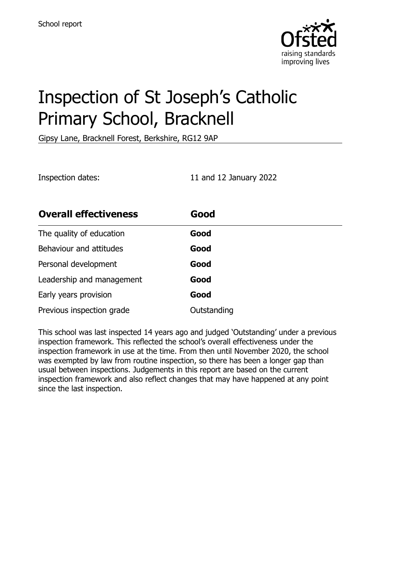

# Inspection of St Joseph's Catholic Primary School, Bracknell

Gipsy Lane, Bracknell Forest, Berkshire, RG12 9AP

Inspection dates: 11 and 12 January 2022

| <b>Overall effectiveness</b> | Good        |
|------------------------------|-------------|
| The quality of education     | Good        |
| Behaviour and attitudes      | Good        |
| Personal development         | Good        |
| Leadership and management    | Good        |
| Early years provision        | Good        |
| Previous inspection grade    | Outstanding |

This school was last inspected 14 years ago and judged 'Outstanding' under a previous inspection framework. This reflected the school's overall effectiveness under the inspection framework in use at the time. From then until November 2020, the school was exempted by law from routine inspection, so there has been a longer gap than usual between inspections. Judgements in this report are based on the current inspection framework and also reflect changes that may have happened at any point since the last inspection.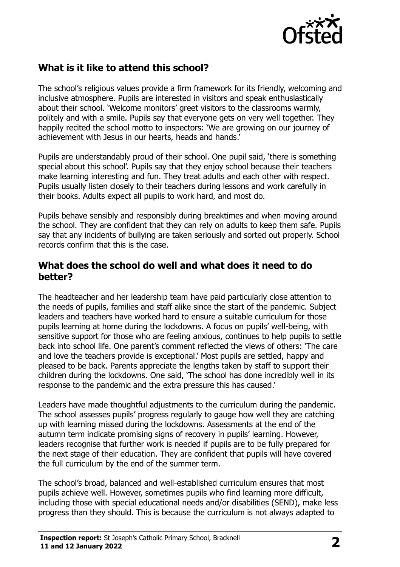

## **What is it like to attend this school?**

The school's religious values provide a firm framework for its friendly, welcoming and inclusive atmosphere. Pupils are interested in visitors and speak enthusiastically about their school. 'Welcome monitors' greet visitors to the classrooms warmly, politely and with a smile. Pupils say that everyone gets on very well together. They happily recited the school motto to inspectors: 'We are growing on our journey of achievement with Jesus in our hearts, heads and hands.'

Pupils are understandably proud of their school. One pupil said, 'there is something special about this school'. Pupils say that they enjoy school because their teachers make learning interesting and fun. They treat adults and each other with respect. Pupils usually listen closely to their teachers during lessons and work carefully in their books. Adults expect all pupils to work hard, and most do.

Pupils behave sensibly and responsibly during breaktimes and when moving around the school. They are confident that they can rely on adults to keep them safe. Pupils say that any incidents of bullying are taken seriously and sorted out properly. School records confirm that this is the case.

#### **What does the school do well and what does it need to do better?**

The headteacher and her leadership team have paid particularly close attention to the needs of pupils, families and staff alike since the start of the pandemic. Subject leaders and teachers have worked hard to ensure a suitable curriculum for those pupils learning at home during the lockdowns. A focus on pupils' well-being, with sensitive support for those who are feeling anxious, continues to help pupils to settle back into school life. One parent's comment reflected the views of others: 'The care and love the teachers provide is exceptional.' Most pupils are settled, happy and pleased to be back. Parents appreciate the lengths taken by staff to support their children during the lockdowns. One said, 'The school has done incredibly well in its response to the pandemic and the extra pressure this has caused.'

Leaders have made thoughtful adjustments to the curriculum during the pandemic. The school assesses pupils' progress regularly to gauge how well they are catching up with learning missed during the lockdowns. Assessments at the end of the autumn term indicate promising signs of recovery in pupils' learning. However, leaders recognise that further work is needed if pupils are to be fully prepared for the next stage of their education. They are confident that pupils will have covered the full curriculum by the end of the summer term.

The school's broad, balanced and well-established curriculum ensures that most pupils achieve well. However, sometimes pupils who find learning more difficult, including those with special educational needs and/or disabilities (SEND), make less progress than they should. This is because the curriculum is not always adapted to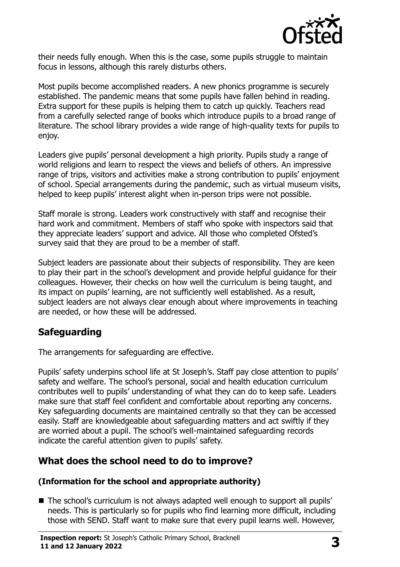

their needs fully enough. When this is the case, some pupils struggle to maintain focus in lessons, although this rarely disturbs others.

Most pupils become accomplished readers. A new phonics programme is securely established. The pandemic means that some pupils have fallen behind in reading. Extra support for these pupils is helping them to catch up quickly. Teachers read from a carefully selected range of books which introduce pupils to a broad range of literature. The school library provides a wide range of high-quality texts for pupils to enjoy.

Leaders give pupils' personal development a high priority. Pupils study a range of world religions and learn to respect the views and beliefs of others. An impressive range of trips, visitors and activities make a strong contribution to pupils' enjoyment of school. Special arrangements during the pandemic, such as virtual museum visits, helped to keep pupils' interest alight when in-person trips were not possible.

Staff morale is strong. Leaders work constructively with staff and recognise their hard work and commitment. Members of staff who spoke with inspectors said that they appreciate leaders' support and advice. All those who completed Ofsted's survey said that they are proud to be a member of staff.

Subject leaders are passionate about their subjects of responsibility. They are keen to play their part in the school's development and provide helpful guidance for their colleagues. However, their checks on how well the curriculum is being taught, and its impact on pupils' learning, are not sufficiently well established. As a result, subject leaders are not always clear enough about where improvements in teaching are needed, or how these will be addressed.

## **Safeguarding**

The arrangements for safeguarding are effective.

Pupils' safety underpins school life at St Joseph's. Staff pay close attention to pupils' safety and welfare. The school's personal, social and health education curriculum contributes well to pupils' understanding of what they can do to keep safe. Leaders make sure that staff feel confident and comfortable about reporting any concerns. Key safeguarding documents are maintained centrally so that they can be accessed easily. Staff are knowledgeable about safeguarding matters and act swiftly if they are worried about a pupil. The school's well-maintained safeguarding records indicate the careful attention given to pupils' safety.

## **What does the school need to do to improve?**

#### **(Information for the school and appropriate authority)**

■ The school's curriculum is not always adapted well enough to support all pupils' needs. This is particularly so for pupils who find learning more difficult, including those with SEND. Staff want to make sure that every pupil learns well. However,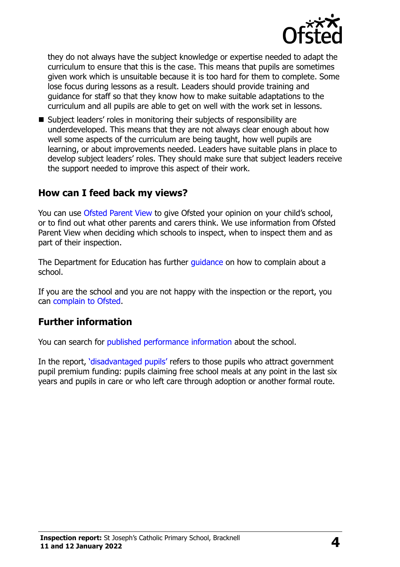

they do not always have the subject knowledge or expertise needed to adapt the curriculum to ensure that this is the case. This means that pupils are sometimes given work which is unsuitable because it is too hard for them to complete. Some lose focus during lessons as a result. Leaders should provide training and guidance for staff so that they know how to make suitable adaptations to the curriculum and all pupils are able to get on well with the work set in lessons.

■ Subject leaders' roles in monitoring their subjects of responsibility are underdeveloped. This means that they are not always clear enough about how well some aspects of the curriculum are being taught, how well pupils are learning, or about improvements needed. Leaders have suitable plans in place to develop subject leaders' roles. They should make sure that subject leaders receive the support needed to improve this aspect of their work.

### **How can I feed back my views?**

You can use [Ofsted Parent View](http://parentview.ofsted.gov.uk/) to give Ofsted your opinion on your child's school, or to find out what other parents and carers think. We use information from Ofsted Parent View when deciding which schools to inspect, when to inspect them and as part of their inspection.

The Department for Education has further quidance on how to complain about a school.

If you are the school and you are not happy with the inspection or the report, you can [complain to Ofsted.](http://www.gov.uk/complain-ofsted-report)

#### **Further information**

You can search for [published performance information](http://www.compare-school-performance.service.gov.uk/) about the school.

In the report, '[disadvantaged pupils](http://www.gov.uk/guidance/pupil-premium-information-for-schools-and-alternative-provision-settings)' refers to those pupils who attract government pupil premium funding: pupils claiming free school meals at any point in the last six years and pupils in care or who left care through adoption or another formal route.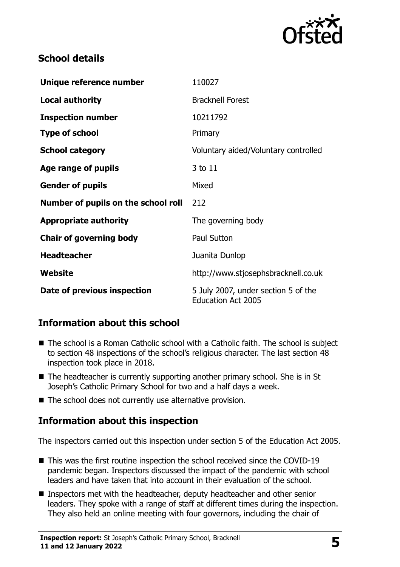

## **School details**

| Unique reference number             | 110027                                                           |
|-------------------------------------|------------------------------------------------------------------|
| <b>Local authority</b>              | <b>Bracknell Forest</b>                                          |
| <b>Inspection number</b>            | 10211792                                                         |
| <b>Type of school</b>               | Primary                                                          |
| <b>School category</b>              | Voluntary aided/Voluntary controlled                             |
| Age range of pupils                 | 3 to 11                                                          |
| <b>Gender of pupils</b>             | Mixed                                                            |
| Number of pupils on the school roll | 212                                                              |
| <b>Appropriate authority</b>        | The governing body                                               |
| <b>Chair of governing body</b>      | Paul Sutton                                                      |
| <b>Headteacher</b>                  | Juanita Dunlop                                                   |
| <b>Website</b>                      | http://www.stjosephsbracknell.co.uk                              |
| Date of previous inspection         | 5 July 2007, under section 5 of the<br><b>Education Act 2005</b> |

## **Information about this school**

- The school is a Roman Catholic school with a Catholic faith. The school is subject to section 48 inspections of the school's religious character. The last section 48 inspection took place in 2018.
- The headteacher is currently supporting another primary school. She is in St Joseph's Catholic Primary School for two and a half days a week.
- $\blacksquare$  The school does not currently use alternative provision.

## **Information about this inspection**

The inspectors carried out this inspection under section 5 of the Education Act 2005.

- This was the first routine inspection the school received since the COVID-19 pandemic began. Inspectors discussed the impact of the pandemic with school leaders and have taken that into account in their evaluation of the school.
- Inspectors met with the headteacher, deputy headteacher and other senior leaders. They spoke with a range of staff at different times during the inspection. They also held an online meeting with four governors, including the chair of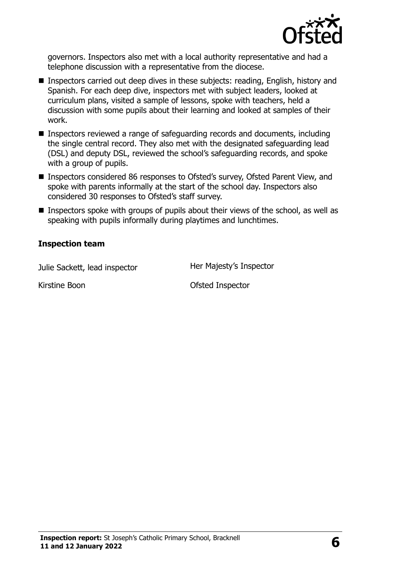

governors. Inspectors also met with a local authority representative and had a telephone discussion with a representative from the diocese.

- Inspectors carried out deep dives in these subjects: reading, English, history and Spanish. For each deep dive, inspectors met with subject leaders, looked at curriculum plans, visited a sample of lessons, spoke with teachers, held a discussion with some pupils about their learning and looked at samples of their work.
- Inspectors reviewed a range of safeguarding records and documents, including the single central record. They also met with the designated safeguarding lead (DSL) and deputy DSL, reviewed the school's safeguarding records, and spoke with a group of pupils.
- Inspectors considered 86 responses to Ofsted's survey, Ofsted Parent View, and spoke with parents informally at the start of the school day. Inspectors also considered 30 responses to Ofsted's staff survey.
- **Inspectors spoke with groups of pupils about their views of the school, as well as** speaking with pupils informally during playtimes and lunchtimes.

#### **Inspection team**

Julie Sackett, lead inspector **Her Majesty's Inspector** 

Kirstine Boon **Ofsted Inspector**